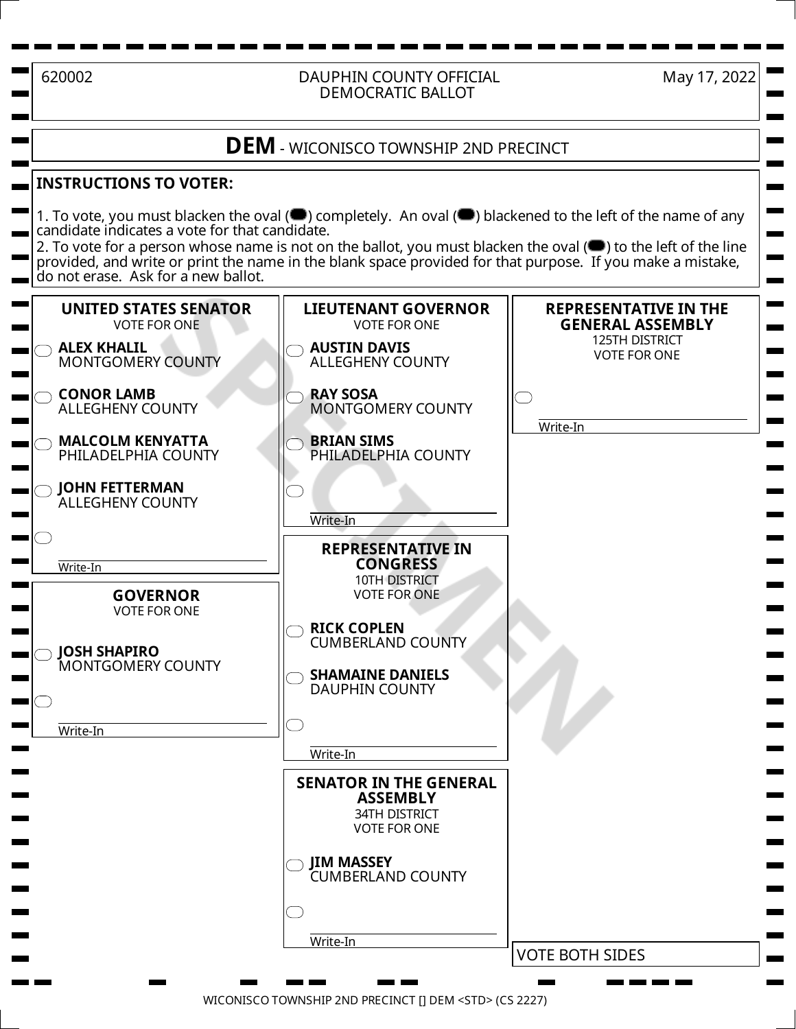## 620002 DAUPHIN COUNTY OFFICIAL DEMOCRATIC BALLOT

May 17, 2022